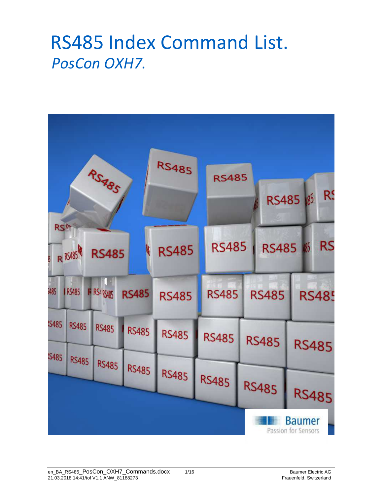### RS485 Index Command List. *PosCon OXH7.*

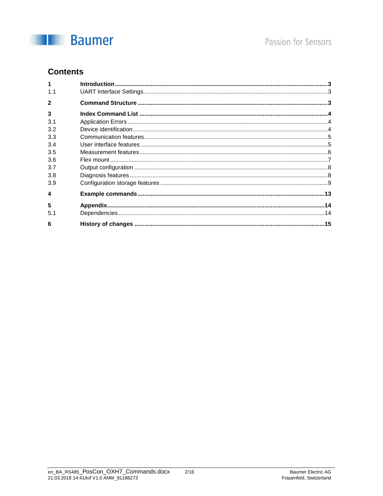

#### **Contents**

| 1.1                     |  |
|-------------------------|--|
| $\overline{\mathbf{c}}$ |  |
| $\overline{3}$          |  |
| 3.1                     |  |
| 3.2                     |  |
| 3.3                     |  |
| 3.4                     |  |
| 3.5                     |  |
| 3.6                     |  |
| 3.7                     |  |
| 3.8                     |  |
| 3.9                     |  |
| $\boldsymbol{4}$        |  |
| 5                       |  |
| 5.1                     |  |
| 6                       |  |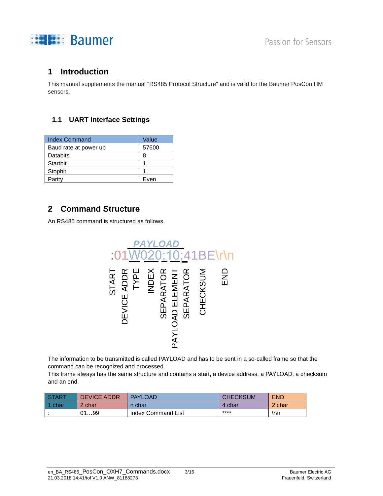

#### **1 Introduction**

This manual supplements the manual "RS485 Protocol Structure" and is valid for the Baumer PosCon HM sensors.

#### **1.1 UART Interface Settings**

| <b>Index Command</b>  | Value |
|-----------------------|-------|
| Baud rate at power up | 57600 |
| Databits              | 8     |
| Startbit              |       |
| Stopbit               |       |
| Parity                | Even  |

#### **2 Command Structure**

An RS485 command is structured as follows.



The information to be transmitted is called PAYLOAD and has to be sent in a so-called frame so that the command can be recognized and processed.

This frame always has the same structure and contains a start, a device address, a PAYLOAD, a checksum and an end.

| <b>START</b> | <b>DEVICE ADDR</b> | <b>PAYLOAD</b>     | <b>CHECKSUM</b> | <b>END</b> |
|--------------|--------------------|--------------------|-----------------|------------|
| 1 char       | 2 char             | n char             | 4 char          | 2 char     |
|              | 0199               | Index Command List | ****            | $\ln$      |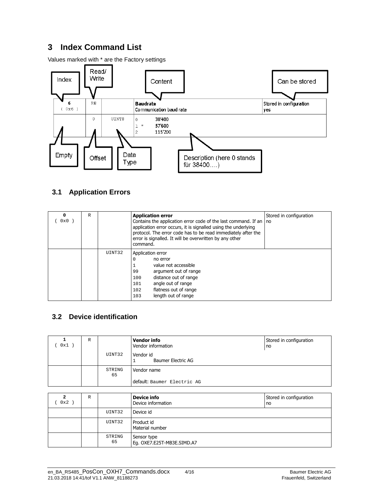#### **3 Index Command List**

Values marked with \* are the Factory settings



#### **3.1 Application Errors**

| 0<br>0x0 | $\mathbb{R}$ |        | <b>Application error</b><br>Contains the application error code of the last command. If an   no<br>application error occurs, it is signalled using the underlying<br>protocol. The error code has to be read immediately after the<br>error is signalled. It will be overwritten by any other<br>command. | Stored in configuration |
|----------|--------------|--------|-----------------------------------------------------------------------------------------------------------------------------------------------------------------------------------------------------------------------------------------------------------------------------------------------------------|-------------------------|
|          |              | UINT32 | Application error<br>0<br>no error<br>value not accessible<br>argument out of range<br>99<br>distance out of range<br>100<br>angle out of range<br>101<br>flatness out of range<br>102<br>length out of range<br>103                                                                                      |                         |

#### **3.2 Device identification**

| 0x1 | $\mathbb{R}$ |              | <b>Vendor info</b><br>Vendor information | Stored in configuration<br>no |
|-----|--------------|--------------|------------------------------------------|-------------------------------|
|     |              | UINT32       | Vendor id<br><b>Baumer Electric AG</b>   |                               |
|     |              | STRING<br>65 | Vendor name                              |                               |
|     |              |              | default: Baumer Electric AG              |                               |

| 2<br>0x2 | R |              | <b>Device info</b><br>Device information  | Stored in configuration<br>no |
|----------|---|--------------|-------------------------------------------|-------------------------------|
|          |   | UINT32       | Device id                                 |                               |
|          |   | UINT32       | Product id<br>Material number             |                               |
|          |   | STRING<br>65 | Sensor type<br>Eg. OXE7.E25T-MB3E.SIMD.A7 |                               |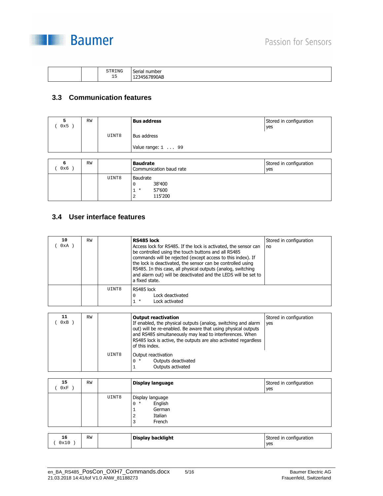

|  |  | STRING<br>$\sim$ $-$<br>ᅩ⊃ | number<br>Corial<br>ುರ<br>lidi.<br>$\sim$ $\sim$<br>UAE<br>--<br>___<br>. |
|--|--|----------------------------|---------------------------------------------------------------------------|
|--|--|----------------------------|---------------------------------------------------------------------------|

#### **3.3 Communication features**

| 5<br>0x5)    | <b>RW</b> |       | <b>Bus address</b>                         | Stored in configuration<br>yes |
|--------------|-----------|-------|--------------------------------------------|--------------------------------|
|              |           | UINT8 | Bus address                                |                                |
|              |           |       | Value range: $1 \ldots 99$                 |                                |
|              |           |       |                                            |                                |
|              |           |       |                                            |                                |
| 6<br>$0x6$ ) | <b>RW</b> |       | <b>Baudrate</b><br>Communication baud rate | Stored in configuration<br>yes |

#### **3.4 User interface features**

| 10<br>0xA | <b>RW</b> |       | RS485 lock<br>Access lock for RS485. If the lock is activated, the sensor can<br>be controlled using the touch buttons and all RS485<br>commands will be rejected (except access to this index). If<br>the lock is deactivated, the sensor can be controlled using<br>RS485. In this case, all physical outputs (analog, switching<br>and alarm out) will be deactivated and the LEDS will be set to<br>a fixed state. | Stored in configuration<br>no |
|-----------|-----------|-------|------------------------------------------------------------------------------------------------------------------------------------------------------------------------------------------------------------------------------------------------------------------------------------------------------------------------------------------------------------------------------------------------------------------------|-------------------------------|
|           |           | UINT8 | RS485 lock<br>Lock deactivated<br>0<br>Lock activated<br>$1 *$                                                                                                                                                                                                                                                                                                                                                         |                               |

| 11  | <b>RW</b> |       | <b>Output reactivation</b>                                                                                                                                                                                                                                                      | Stored in configuration |
|-----|-----------|-------|---------------------------------------------------------------------------------------------------------------------------------------------------------------------------------------------------------------------------------------------------------------------------------|-------------------------|
| 0xB |           |       | If enabled, the physical outputs (analog, switching and alarm<br>out) will be re-enabled. Be aware that using physical outputs<br>and RS485 simultaneously may lead to interferences. When<br>RS485 lock is active, the outputs are also activated regardless<br>of this index. | yes                     |
|     |           | UINT8 | Output reactivation<br>Outputs deactivated<br>$0 *$<br>Outputs activated                                                                                                                                                                                                        |                         |

| 15<br>0xF | <b>RW</b> |       | Display language                                                              | Stored in configuration<br>yes |
|-----------|-----------|-------|-------------------------------------------------------------------------------|--------------------------------|
|           |           | UINT8 | Display language<br>English<br>$0 *$<br>German<br>Italian<br>2<br>French<br>3 |                                |

| 16             | <b>RW</b> | Display backlight | Stored in configuration |
|----------------|-----------|-------------------|-------------------------|
| $\sim$<br>0x10 |           |                   | yes                     |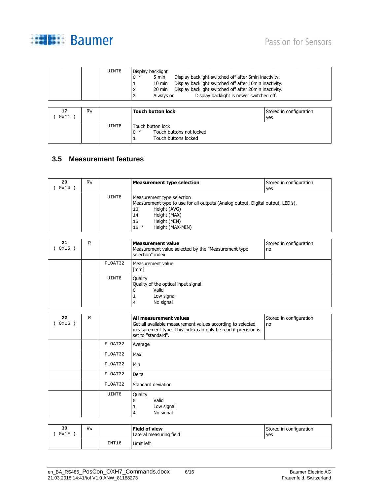

| UINT8 | Display backlight         |                                                        |
|-------|---------------------------|--------------------------------------------------------|
|       | 5 min<br>$0 *$            | Display backlight switched off after 5min inactivity.  |
|       | $10 \text{ min}$          | Display backlight switched off after 10min inactivity. |
|       | 20 min<br>2               | Display backlight switched off after 20min inactivity. |
|       | Always on<br>$\mathbf{z}$ | Display backlight is newer switched off.               |

| 17<br>0x11 | RW |       | <b>Touch button lock</b>                                                       | Stored in configuration<br>yes |
|------------|----|-------|--------------------------------------------------------------------------------|--------------------------------|
|            |    | UINT8 | Touch button lock<br>Touch buttons not locked<br>$0 *$<br>Touch buttons locked |                                |

#### **3.5 Measurement features**

| 20<br>0x14 | <b>RW</b> |       | <b>Measurement type selection</b>                                                                                                                                                                         | Stored in configuration<br>yes |
|------------|-----------|-------|-----------------------------------------------------------------------------------------------------------------------------------------------------------------------------------------------------------|--------------------------------|
|            |           | UINT8 | Measurement type selection<br>Measurement type to use for all outputs (Analog output, Digital output, LED's).<br>Height (AVG)<br>13<br>Height (MAX)<br>14<br>Height (MIN)<br>15<br>Height (MAX-MIN)<br>16 |                                |

| 21<br>0x15 | $\mathbb R$ |         | <b>Measurement value</b><br>Measurement value selected by the "Measurement type<br>selection" index. | Stored in configuration<br>no |
|------------|-------------|---------|------------------------------------------------------------------------------------------------------|-------------------------------|
|            |             | FLOAT32 | Measurement value<br>[mm]                                                                            |                               |
|            |             | UINT8   | Quality<br>Quality of the optical input signal.<br>Valid<br>0<br>Low signal<br>J.<br>No signal<br>4  |                               |

| 22<br>$0x16$ ) | $\mathbb{R}$ |         | All measurement values<br>Get all available measurement values according to selected<br>measurement type. This index can only be read if precision is<br>set to "standard". | Stored in configuration<br>no |
|----------------|--------------|---------|-----------------------------------------------------------------------------------------------------------------------------------------------------------------------------|-------------------------------|
|                |              | FLOAT32 | Average                                                                                                                                                                     |                               |
|                |              | FLOAT32 | Max                                                                                                                                                                         |                               |
|                |              | FLOAT32 | Min                                                                                                                                                                         |                               |
|                |              | FLOAT32 | Delta                                                                                                                                                                       |                               |
|                |              | FLOAT32 | Standard deviation                                                                                                                                                          |                               |
|                |              | UINT8   | Quality<br>Valid<br>$\mathbf 0$<br>Low signal<br>$\mathbf{1}$<br>No signal<br>$\overline{4}$                                                                                |                               |

| 30<br>0x1E | <b>RW</b> |       | <b>Field of view</b><br>Lateral measuring field | Stored in configuration<br>yes |
|------------|-----------|-------|-------------------------------------------------|--------------------------------|
|            |           | INT16 | Limit left                                      |                                |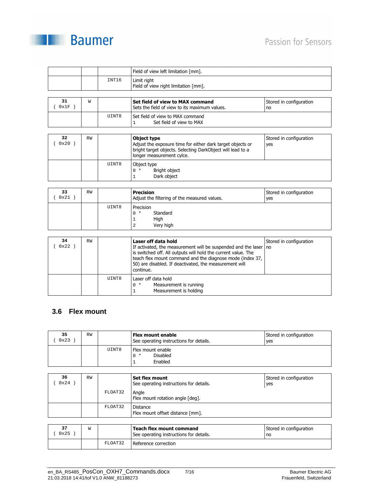



|      |   |       | Field of view left limitation [mm].                 |                         |
|------|---|-------|-----------------------------------------------------|-------------------------|
|      |   | INT16 | Limit right<br>Field of view right limitation [mm]. |                         |
| 31   | W |       | Set field of view to MAX command                    | Stored in configuration |
| 0x1F |   |       | Sets the field of view to its maximum values.       | no                      |

| 32<br>0x20 | <b>RW</b> |       | Object type<br>Adjust the exposure time for either dark target objects or<br>bright target objects. Selecting DarkObject will lead to a<br>longer measurement cylce. | Stored in configuration<br>yes |
|------------|-----------|-------|----------------------------------------------------------------------------------------------------------------------------------------------------------------------|--------------------------------|
|            |           | UINT8 | Object type<br>Bright object<br>$0 *$<br>Dark object                                                                                                                 |                                |

| 33<br>0x21 | <b>RW</b> |       | <b>Precision</b><br>Adjust the filtering of the measured values. | Stored in configuration<br>ves |
|------------|-----------|-------|------------------------------------------------------------------|--------------------------------|
|            |           | UINT8 | Precision<br>Standard<br>$0 *$<br>High<br>Very high<br>っ<br>▵    |                                |

| 34<br>0x22 | <b>RW</b> |       | Laser off data hold<br>If activated, the measurement will be suspended and the laser<br>is switched off. All outputs will hold the current value. The<br>teach flex mount command and the diagnose mode (index 37,<br>50) are disabled. If deactivated, the measurement will<br>continue. | Stored in configuration<br>no |
|------------|-----------|-------|-------------------------------------------------------------------------------------------------------------------------------------------------------------------------------------------------------------------------------------------------------------------------------------------|-------------------------------|
|            |           | UINT8 | Laser off data hold<br>Measurement is running<br>$0 *$<br>Measurement is holding                                                                                                                                                                                                          |                               |

#### **3.6 Flex mount**

| 35<br>0x23 | <b>RW</b> |       | Flex mount enable<br>See operating instructions for details. | Stored in configuration<br>yes |
|------------|-----------|-------|--------------------------------------------------------------|--------------------------------|
|            |           | UINT8 | Flex mount enable<br><b>Disabled</b><br>$0 *$<br>Enabled     |                                |

| 36<br>0x24 | <b>RW</b> |         | Set flex mount<br>See operating instructions for details. | Stored in configuration<br>yes |
|------------|-----------|---------|-----------------------------------------------------------|--------------------------------|
|            |           | FLOAT32 | Angle<br>Flex mount rotation angle [deg].                 |                                |
|            |           | FLOAT32 | <b>Distance</b><br>Flex mount offset distance [mm].       |                                |

| 37<br>0x25 |         | Teach flex mount command<br>See operating instructions for details. | Stored in configuration<br>no |
|------------|---------|---------------------------------------------------------------------|-------------------------------|
|            | FLOAT32 | Reference correction                                                |                               |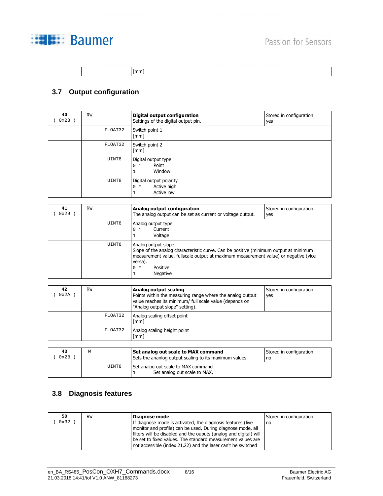

|--|

#### **3.7 Output configuration**

| 40<br>0x28 | RW |         | Digital output configuration<br>Settings of the digital output pin. | Stored in configuration<br>yes |
|------------|----|---------|---------------------------------------------------------------------|--------------------------------|
|            |    | FLOAT32 | Switch point 1<br>$\lceil mm \rceil$                                |                                |
|            |    | FLOAT32 | Switch point 2<br>$\lceil mm \rceil$                                |                                |
|            |    | UINT8   | Digital output type<br>Point<br>$0 *$<br>Window<br>1                |                                |
|            |    | UINT8   | Digital output polarity<br>Active high<br>$0 *$<br>Active low<br>Ŧ  |                                |

| 41<br>0x29 | <b>RW</b> |       | Analog output configuration<br>The analog output can be set as current or voltage output.                                                                                                                                                      | Stored in configuration<br>yes |
|------------|-----------|-------|------------------------------------------------------------------------------------------------------------------------------------------------------------------------------------------------------------------------------------------------|--------------------------------|
|            |           | UINT8 | Analog output type<br>Current<br>$\star$<br>Voltage                                                                                                                                                                                            |                                |
|            |           | UINT8 | Analog output slope<br>Slope of the analog characteristic curve. Can be positive (minimum output at minimum<br>measurement value, fullscale output at maximum measurement value) or negative (vice<br>versa).<br>Positive<br>$0 *$<br>Negative |                                |

| 42<br>0x2A          | <b>RW</b> |         | Analog output scaling<br>Points within the measuring range where the analog output<br>value reaches its minimum/ full scale value (depends on<br>"Analog output slope" setting).                                                                                      | Stored in configuration<br>yes |
|---------------------|-----------|---------|-----------------------------------------------------------------------------------------------------------------------------------------------------------------------------------------------------------------------------------------------------------------------|--------------------------------|
|                     |           | FLOAT32 | Analog scaling offset point<br>[mm]                                                                                                                                                                                                                                   |                                |
|                     |           | FLOAT32 | Analog scaling height point<br>$\lceil mm \rceil$                                                                                                                                                                                                                     |                                |
|                     |           |         |                                                                                                                                                                                                                                                                       |                                |
| 43<br>$0 \times 2D$ | W         |         | Set analog out scale to MAX command<br>Application of the contract of the state of the contract of the state of the state of the state of the state of the state of the state of the state of the state of the state of the state of the state of the state of the st | Stored in configuration        |

|      |       | <u>set analyg yat seale to i IPAt commana</u>                       | 500100111001119010011 |
|------|-------|---------------------------------------------------------------------|-----------------------|
| 0x2B |       | Sets the ananlog output scaling to its maximum values.              | no                    |
|      | UINT8 | Set analog out scale to MAX command<br>Set analog out scale to MAX. |                       |

#### **3.8 Diagnosis features**

| 50   | <b>RW</b> | Diagnose mode                                                     | Stored in configuration |
|------|-----------|-------------------------------------------------------------------|-------------------------|
| 0x32 |           | If diagnose mode is activated, the diagnosis features (live       | no                      |
|      |           | monitor and profile) can be used. During diagnose mode, all       |                         |
|      |           | filters will be disabled and the ouputs (analog and digital) will |                         |
|      |           | be set to fixed values. The standard measurement values are       |                         |
|      |           | not accessible (index 21,22) and the laser can't be switched      |                         |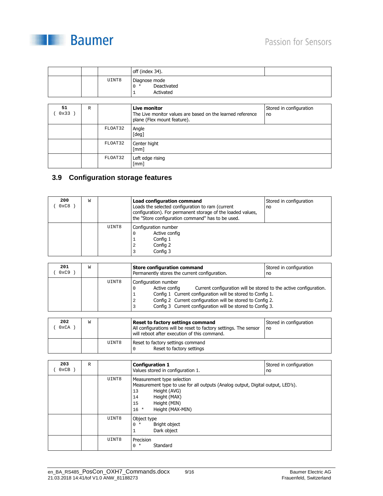

|             |   |         | off (index 34).                                                                                                  |                               |
|-------------|---|---------|------------------------------------------------------------------------------------------------------------------|-------------------------------|
|             |   | UINT8   | Diagnose mode<br>Deactivated<br>$0 *$<br>Activated<br>1                                                          |                               |
|             |   |         |                                                                                                                  |                               |
| 51<br>0x33) | R |         | <b>Live monitor</b><br>The Live monitor values are based on the learned reference<br>plane (Flex mount feature). | Stored in configuration<br>no |
|             |   | FLOAT32 | Angle<br>[deg]                                                                                                   |                               |
|             |   | FLOAT32 | Center hight<br>$\lceil mm \rceil$                                                                               |                               |
|             |   | FLOAT32 | Left edge rising<br>$\lceil mm \rceil$                                                                           |                               |

#### **3.9 Configuration storage features**

| 200<br>0xC8 | W |       | <b>Load configuration command</b><br>Loads the selected configuration to ram (current<br>configuration). For permanent storage of the loaded values,<br>the "Store configuration command" has to be used. | Stored in configuration<br>no |
|-------------|---|-------|-----------------------------------------------------------------------------------------------------------------------------------------------------------------------------------------------------------|-------------------------------|
|             |   | UINT8 | Configuration number<br>Active config<br>Config 1<br>Config 2<br>2<br>Config 3                                                                                                                            |                               |

| 201<br>0xC9 | W |       | <b>Store configuration command</b><br>Permanently stores the current configuration.                                                                                                                                                                                                                                   | Stored in configuration<br>no |
|-------------|---|-------|-----------------------------------------------------------------------------------------------------------------------------------------------------------------------------------------------------------------------------------------------------------------------------------------------------------------------|-------------------------------|
|             |   | UINT8 | Configuration number<br>Current configuration will be stored to the active configuration.<br>Active config<br>- U<br>Config 1 Current configuration will be stored to Config 1.<br>Config 2 Current configuration will be stored to Config 2.<br>2<br>Config 3 Current configuration will be stored to Config 3.<br>3 |                               |

| 202<br>0xCA | W |       | Reset to factory settings command<br>All configurations will be reset to factory settings. The sensor<br>will reboot after execution of this command. | Stored in configuration<br>no |
|-------------|---|-------|-------------------------------------------------------------------------------------------------------------------------------------------------------|-------------------------------|
|             |   | UINT8 | Reset to factory settings command<br>Reset to factory settings                                                                                        |                               |

| 203<br>0xCB | R |       | <b>Configuration 1</b><br>Values stored in configuration 1.                                                                                                                                                   | Stored in configuration<br>no |
|-------------|---|-------|---------------------------------------------------------------------------------------------------------------------------------------------------------------------------------------------------------------|-------------------------------|
|             |   | UINT8 | Measurement type selection<br>Measurement type to use for all outputs (Analog output, Digital output, LED's).<br>Height (AVG)<br>13<br>Height (MAX)<br>14<br>Height (MIN)<br>15<br>Height (MAX-MIN)<br>$16 *$ |                               |
|             |   | UINT8 | Object type<br>Bright object<br>$0 *$<br>Dark object<br>$\mathbf{1}$                                                                                                                                          |                               |
|             |   | UINT8 | Precision<br>Standard<br>$\Omega$<br>$\star$                                                                                                                                                                  |                               |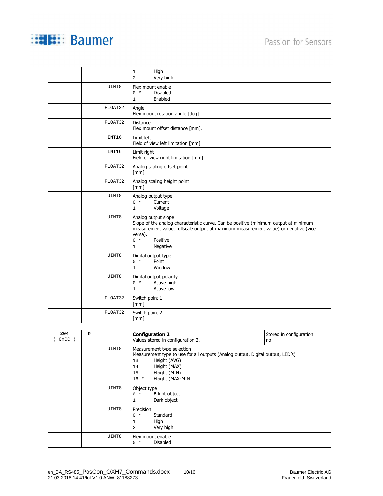

|         | High<br>$\mathbf 1$<br>$\overline{a}$<br>Very high                                                                                                                                                                                                             |
|---------|----------------------------------------------------------------------------------------------------------------------------------------------------------------------------------------------------------------------------------------------------------------|
| UINT8   | Flex mount enable<br>$0 *$<br><b>Disabled</b><br>Enabled<br>1                                                                                                                                                                                                  |
| FLOAT32 | Angle<br>Flex mount rotation angle [deg].                                                                                                                                                                                                                      |
| FLOAT32 | <b>Distance</b><br>Flex mount offset distance [mm].                                                                                                                                                                                                            |
| INT16   | Limit left<br>Field of view left limitation [mm].                                                                                                                                                                                                              |
| INT16   | Limit right<br>Field of view right limitation [mm].                                                                                                                                                                                                            |
| FLOAT32 | Analog scaling offset point<br>[mm]                                                                                                                                                                                                                            |
| FLOAT32 | Analog scaling height point<br>[mm]                                                                                                                                                                                                                            |
| UINT8   | Analog output type<br>Current<br>$0 *$<br>Voltage<br>$\mathbf{1}$                                                                                                                                                                                              |
| UINT8   | Analog output slope<br>Slope of the analog characteristic curve. Can be positive (minimum output at minimum<br>measurement value, fullscale output at maximum measurement value) or negative (vice<br>versa).<br>$0 *$<br>Positive<br>Negative<br>$\mathbf{1}$ |
| UINT8   | Digital output type<br>Point<br>$0 *$<br>Window<br>$\mathbf{1}$                                                                                                                                                                                                |
| UINT8   | Digital output polarity<br>Active high<br>$0 *$<br>Active low<br>$\mathbf{1}$                                                                                                                                                                                  |
| FLOAT32 | Switch point 1<br>$\lceil mm \rceil$                                                                                                                                                                                                                           |
| FLOAT32 | Switch point 2                                                                                                                                                                                                                                                 |

| 204<br>$0 \times CC$ | $\mathbb R$ | UINT8 | <b>Configuration 2</b><br>Values stored in configuration 2.<br>Measurement type selection<br>Measurement type to use for all outputs (Analog output, Digital output, LED's).<br>Height (AVG)<br>13<br>Height (MAX)<br>14<br>Height (MIN)<br>15<br>Height (MAX-MIN)<br>$16 *$ | Stored in configuration<br>no |
|----------------------|-------------|-------|------------------------------------------------------------------------------------------------------------------------------------------------------------------------------------------------------------------------------------------------------------------------------|-------------------------------|
|                      |             | UINT8 | Object type<br>Bright object<br>$0 *$<br>Dark object                                                                                                                                                                                                                         |                               |
|                      |             | UINT8 | Precision<br>Standard<br>$\Omega$<br>$\star$<br>High<br>1<br>Very high<br>2                                                                                                                                                                                                  |                               |
|                      |             | UINT8 | Flex mount enable<br>Disabled<br>$0 *$                                                                                                                                                                                                                                       |                               |

[mm]

**Baumer**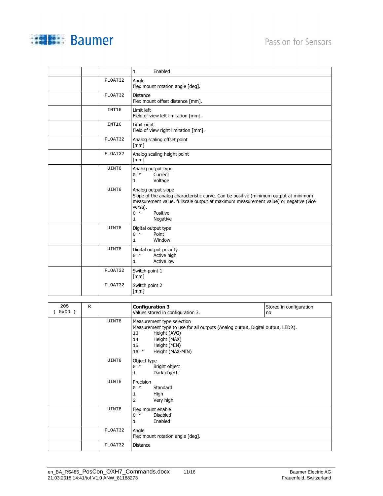

|         | Enabled<br>$\mathbf{1}$                                                                                                                                                                                                                                 |
|---------|---------------------------------------------------------------------------------------------------------------------------------------------------------------------------------------------------------------------------------------------------------|
| FLOAT32 | Angle<br>Flex mount rotation angle [deg].                                                                                                                                                                                                               |
| FLOAT32 | Distance<br>Flex mount offset distance [mm].                                                                                                                                                                                                            |
| INT16   | Limit left<br>Field of view left limitation [mm].                                                                                                                                                                                                       |
| INT16   | Limit right<br>Field of view right limitation [mm].                                                                                                                                                                                                     |
| FLOAT32 | Analog scaling offset point<br>[mm]                                                                                                                                                                                                                     |
| FLOAT32 | Analog scaling height point<br>$\lceil mm \rceil$                                                                                                                                                                                                       |
| UINT8   | Analog output type<br>Current<br>$0 *$<br>Voltage<br>$\mathbf{1}$                                                                                                                                                                                       |
| UINT8   | Analog output slope<br>Slope of the analog characteristic curve. Can be positive (minimum output at minimum<br>measurement value, fullscale output at maximum measurement value) or negative (vice<br>versa).<br>Positive<br>$0 *$<br>Negative<br>$1\,$ |
| UINT8   | Digital output type<br>$0 *$<br>Point<br>Window<br>$\mathbf{1}$                                                                                                                                                                                         |
| UINT8   | Digital output polarity<br>$0 *$<br>Active high<br>Active low<br>$\mathbf{1}$                                                                                                                                                                           |
| FLOAT32 | Switch point 1<br>[mm]                                                                                                                                                                                                                                  |
| FLOAT32 | Switch point 2<br>$\lceil mm \rceil$                                                                                                                                                                                                                    |

| 205<br>$0xCD$ ) | $\mathbb{R}$ |         | <b>Configuration 3</b><br>Values stored in configuration 3.                                                                                                                                                   | Stored in configuration<br>no |
|-----------------|--------------|---------|---------------------------------------------------------------------------------------------------------------------------------------------------------------------------------------------------------------|-------------------------------|
|                 |              | UINT8   | Measurement type selection<br>Measurement type to use for all outputs (Analog output, Digital output, LED's).<br>Height (AVG)<br>13<br>Height (MAX)<br>14<br>Height (MIN)<br>15<br>Height (MAX-MIN)<br>$16 *$ |                               |
|                 |              | UINT8   | Object type<br>Bright object<br>$0 *$<br>Dark object<br>$\mathbf{1}$                                                                                                                                          |                               |
|                 |              | UINT8   | Precision<br>Standard<br>$0 *$<br>High<br>1<br>Very high<br>$\overline{a}$                                                                                                                                    |                               |
|                 |              | UINT8   | Flex mount enable<br><b>Disabled</b><br>$0 *$<br>Enabled<br>$\mathbf{1}$                                                                                                                                      |                               |
|                 |              | FLOAT32 | Angle<br>Flex mount rotation angle [deg].                                                                                                                                                                     |                               |
|                 |              | FLOAT32 | <b>Distance</b>                                                                                                                                                                                               |                               |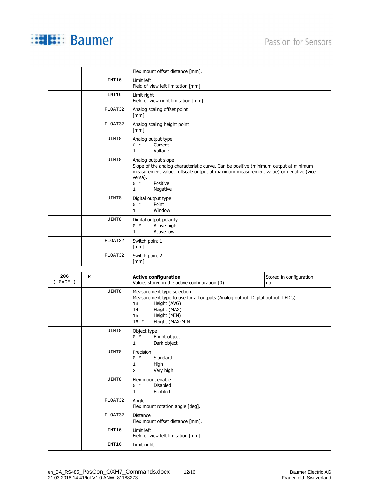

|         | Flex mount offset distance [mm].                                                                                                                                                                                                                    |  |  |
|---------|-----------------------------------------------------------------------------------------------------------------------------------------------------------------------------------------------------------------------------------------------------|--|--|
| INT16   | Limit left<br>Field of view left limitation [mm].                                                                                                                                                                                                   |  |  |
| INT16   | Limit right<br>Field of view right limitation [mm].                                                                                                                                                                                                 |  |  |
| FLOAT32 | Analog scaling offset point<br>$\lceil mm \rceil$                                                                                                                                                                                                   |  |  |
| FLOAT32 | Analog scaling height point<br>$\lceil mm \rceil$                                                                                                                                                                                                   |  |  |
| UINT8   | Analog output type<br>$0 *$<br>Current<br>Voltage<br>1                                                                                                                                                                                              |  |  |
| UINT8   | Analog output slope<br>Slope of the analog characteristic curve. Can be positive (minimum output at minimum<br>measurement value, fullscale output at maximum measurement value) or negative (vice<br>versa).<br>Positive<br>$0 *$<br>Negative<br>1 |  |  |
| UINT8   | Digital output type<br>$0 *$<br>Point<br>Window<br>1                                                                                                                                                                                                |  |  |
| UINT8   | Digital output polarity<br>$0 *$<br>Active high<br>Active low<br>1                                                                                                                                                                                  |  |  |
| FLOAT32 | Switch point 1<br>$\lceil mm \rceil$                                                                                                                                                                                                                |  |  |
| FLOAT32 | Switch point 2<br>[mm]                                                                                                                                                                                                                              |  |  |

| 206<br>$0 \times CE$ ) | $\mathbb{R}$ |         | <b>Active configuration</b><br>Values stored in the active configuration (0).                                                                                                                                 | Stored in configuration<br>no |
|------------------------|--------------|---------|---------------------------------------------------------------------------------------------------------------------------------------------------------------------------------------------------------------|-------------------------------|
|                        |              | UINT8   | Measurement type selection<br>Measurement type to use for all outputs (Analog output, Digital output, LED's).<br>Height (AVG)<br>13<br>Height (MAX)<br>14<br>Height (MIN)<br>15<br>Height (MAX-MIN)<br>$16 *$ |                               |
|                        |              | UINT8   | Object type<br>$0 *$<br>Bright object<br>Dark object<br>1                                                                                                                                                     |                               |
|                        |              | UINT8   | Precision<br>Standard<br>$0 *$<br>High<br>1<br>Very high<br>2                                                                                                                                                 |                               |
|                        |              | UINT8   | Flex mount enable<br><b>Disabled</b><br>$0 *$<br>Enabled<br>1                                                                                                                                                 |                               |
|                        |              | FLOAT32 | Angle<br>Flex mount rotation angle [deg].                                                                                                                                                                     |                               |
|                        |              | FLOAT32 | <b>Distance</b><br>Flex mount offset distance [mm].                                                                                                                                                           |                               |
|                        |              | INT16   | Limit left<br>Field of view left limitation [mm].                                                                                                                                                             |                               |
|                        |              | INT16   | Limit right                                                                                                                                                                                                   |                               |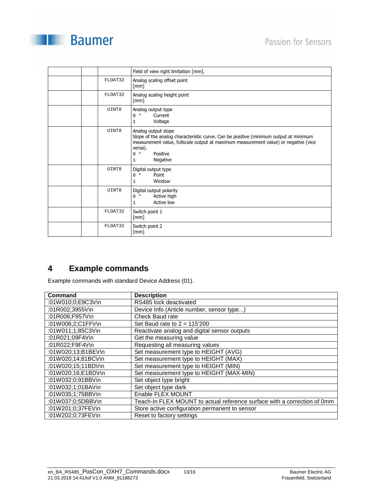

|         | Field of view right limitation [mm].                                                                                                                                                                                                           |
|---------|------------------------------------------------------------------------------------------------------------------------------------------------------------------------------------------------------------------------------------------------|
| FLOAT32 | Analog scaling offset point<br>[mm]                                                                                                                                                                                                            |
| FLOAT32 | Analog scaling height point<br>$\lceil mm \rceil$                                                                                                                                                                                              |
| UINT8   | Analog output type<br>$0 *$<br>Current<br>Voltage<br>1                                                                                                                                                                                         |
| UINT8   | Analog output slope<br>Slope of the analog characteristic curve. Can be positive (minimum output at minimum<br>measurement value, fullscale output at maximum measurement value) or negative (vice<br>versa).<br>Positive<br>$0 *$<br>Negative |
| UINT8   | Digital output type<br>Point<br>$0 *$<br>Window                                                                                                                                                                                                |
| UINT8   | Digital output polarity<br>Active high<br>$0 *$<br>Active low<br>1                                                                                                                                                                             |
| FLOAT32 | Switch point 1<br>[mm]                                                                                                                                                                                                                         |
| FLOAT32 | Switch point 2<br>[mm]                                                                                                                                                                                                                         |

#### **4 Example commands**

Example commands with standard Device Address (01).

| Command             | <b>Description</b>                                                       |
|---------------------|--------------------------------------------------------------------------|
| :01W010;0;E9C3\r\n  | RS485 lock deactivated                                                   |
| :01R002;3955\r\n    | Device Info (Article number, sensor type)                                |
| :01R006;F957\r\n    | Check Baud rate                                                          |
| :01W006;2;C1FF\r\n  | Set Baud rate to $2 = 115'200$                                           |
| :01W011;1;85C3\r\n  | Reactivate analog and digital sensor outputs                             |
| :01R021;09F4\r\n    | Get the measuring value                                                  |
| :01R022;F9F4\r\n    | Requesting all measuring values                                          |
| :01W020;13;B1BE\r\n | Set measurement type to HEIGHT (AVG)                                     |
| :01W020;14;81BC\r\n | Set measurement type to HEIGHT (MAX)                                     |
| :01W020;15;11BD\r\n | Set measurement type to HEIGHT (MIN)                                     |
| :01W020;16;E1BD\r\n | Set measurement type to HEIGHT (MAX-MIN)                                 |
| :01W032:0:91BB\r\n  | Set object type bright                                                   |
| :01W032;1;01BA\r\n  | Set object type dark                                                     |
| :01W035;1;75BB\r\n  | Enable FLEX MOUNT                                                        |
| :01W037;0;5DBB\r\n  | Teach-In FLEX MOUNT to actual reference surface with a correction of 0mm |
| :01W201;0;37FE\r\n  | Store active configuration permanent to sensor                           |
| :01W202;0;73FE\r\n  | Reset to factory settings                                                |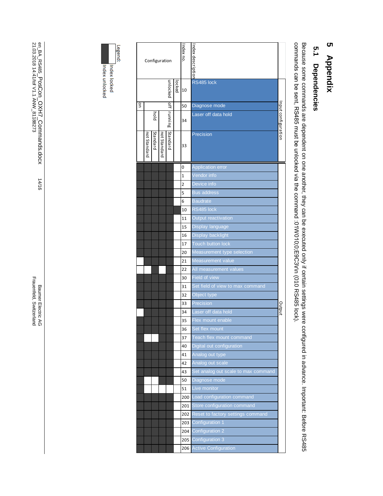## 5 Appendix **5 Appendix**

# 5.1 Dependencies **5.1 Dependencies**

Because some commands are dependent on one another, they can be executed only if certain settings were configured in advance. Important: Before RS485<br>commands can be sent, RS485 must be unlocked via the command :01W010;0;E commands can be sent, RS485 must be unlocked via the command :01W010;0;E9C3 Because some commands are dependent on one another, they can be executed only if certain settings were configured in advance. Important: Before RS485 \r\n (010 RS485 lock).

|          |              |                 | Configuration |               |        | ndex no.       | Index description                   |                    |
|----------|--------------|-----------------|---------------|---------------|--------|----------------|-------------------------------------|--------------------|
|          |              |                 |               | unlocked      | locked | 10             | RS485 lock                          |                    |
| <b>D</b> |              |                 |               | $\frac{1}{2}$ |        | 50             | Diagnose mode                       |                    |
|          |              | piol            |               | running       |        | 34             | Laser off data hold                 | nput configuration |
|          | not Standard | <b>Standard</b> | not Standard  | Standard      |        | 33             | Precision                           |                    |
|          |              |                 |               |               |        | 0              | <b>Application error</b>            |                    |
|          |              |                 |               |               |        | $\overline{1}$ | Vendor info                         |                    |
|          |              |                 |               |               |        | 2              | Device info                         |                    |
|          |              |                 |               |               |        | 5              | <b>Bus address</b>                  |                    |
|          |              |                 |               |               |        | 6              | <b>Baudrate</b>                     |                    |
|          |              |                 |               |               |        | 10             | RS485 lock                          |                    |
|          |              |                 |               |               |        | 11             | Output reactivation                 |                    |
|          |              |                 |               |               |        | 15             | Display language                    |                    |
|          |              |                 |               |               |        | 16             | Display backlight                   |                    |
|          |              |                 |               |               |        | 17             | Touch button lock                   |                    |
|          |              |                 |               |               |        | 20             | Measurement type selection          |                    |
|          |              |                 |               |               |        | 21             | Measurement value                   |                    |
|          |              |                 |               |               |        | 22             | All measurement values              |                    |
|          |              |                 |               |               |        | 30             | Field of view                       |                    |
|          |              |                 |               |               |        | 31             | Set field of view to max command    |                    |
|          |              |                 |               |               |        | 32             | Object type                         |                    |
|          |              |                 |               |               |        | 33             | Precision                           |                    |
|          |              |                 |               |               |        |                | Laser off data hold                 | Output             |
|          |              |                 |               |               |        | 34             | Flex mount enable                   |                    |
|          |              |                 |               |               |        | 35             | Set flex mount                      |                    |
|          |              |                 |               |               |        | 36             |                                     |                    |
|          |              |                 |               |               |        | 37             | Teach flex mount command            |                    |
|          |              |                 |               |               |        | 40             | Digital out configuration           |                    |
|          |              |                 |               |               |        | 41             | Analog out type                     |                    |
|          |              |                 |               |               |        | 42             | Analog out scale                    |                    |
|          |              |                 |               |               |        | 43             | Set analog out scale to max command |                    |
|          |              |                 |               |               |        | 50             | Diagnose mode                       |                    |
|          |              |                 |               |               |        | 51             | Live monitor                        |                    |
|          |              |                 |               |               |        | 200            | Load configuration command          |                    |
|          |              |                 |               |               |        | 201            | Store configuration command         |                    |
|          |              |                 |               |               |        | 202            | Reset to factory settings command   |                    |
|          |              |                 |               |               |        | 203            | Configuration 1                     |                    |
|          |              |                 |               |               |        | 204            | <b>Configuration 2</b>              |                    |
|          |              |                 |               |               |        | 205            | Configuration 3                     |                    |
|          |              |                 |               |               |        | 206            | <b>Active Configuration</b>         |                    |



Index locked

Baumer Electric AG<br>Frauenfeld, Switzerland Frauenfeld, Switzerland Baumer Electric AG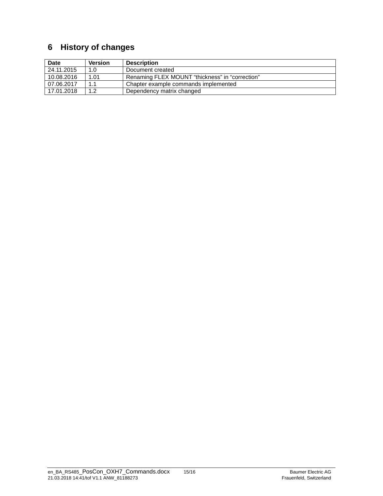#### **6 History of changes**

| Date       | <b>Version</b> | <b>Description</b>                              |
|------------|----------------|-------------------------------------------------|
| 24.11.2015 | 1.0            | Document created                                |
| 10.08.2016 | 1.01           | Renaming FLEX MOUNT "thickness" in "correction" |
| 07.06.2017 | 1.1            | Chapter example commands implemented            |
| 17.01.2018 | 1.2            | Dependency matrix changed                       |